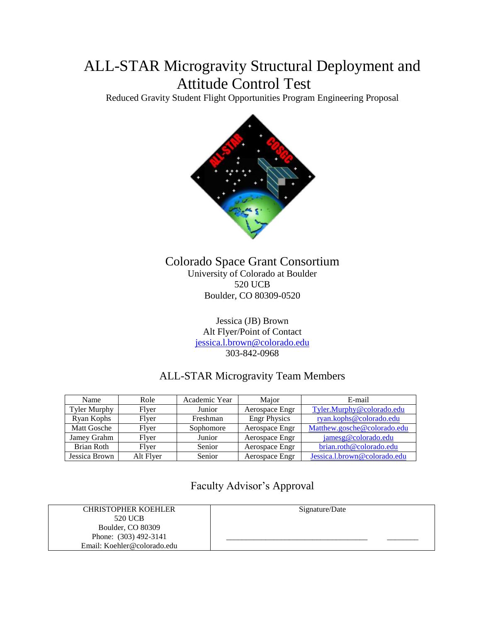# ALL-STAR Microgravity Structural Deployment and Attitude Control Test

Reduced Gravity Student Flight Opportunities Program Engineering Proposal



# Colorado Space Grant Consortium University of Colorado at Boulder 520 UCB Boulder, CO 80309-0520

Jessica (JB) Brown Alt Flyer/Point of Contact [jessica.l.brown@colorado.edu](mailto:jessica.l.brown@colorado.edu) 303-842-0968

# ALL-STAR Microgravity Team Members

| Name                | Role      | Academic Year | Major               | E-mail                       |
|---------------------|-----------|---------------|---------------------|------------------------------|
| <b>Tyler Murphy</b> | Flyer     | Junior        | Aerospace Engr      | Tyler.Murphy@colorado.edu    |
| Ryan Kophs          | Flver     | Freshman      | <b>Engr Physics</b> | ryan.kophs@colorado.edu      |
| Matt Gosche         | Flver     | Sophomore     | Aerospace Engr      | Matthew.gosche@colorado.edu  |
| Jamey Grahm         | Flver     | Junior        | Aerospace Engr      | jamesg@colorado.edu          |
| <b>Brian Roth</b>   | Flver     | Senior        | Aerospace Engr      | brian.roth@colorado.edu      |
| Jessica Brown       | Alt Flyer | Senior        | Aerospace Engr      | Jessica.l.brown@colorado.edu |

Faculty Advisor's Approval

| <b>CHRISTOPHER KOEHLER</b>  | Signature/Date |
|-----------------------------|----------------|
| 520 UCB                     |                |
| Boulder, CO 80309           |                |
| Phone: (303) 492-3141       |                |
| Email: Koehler@colorado.edu |                |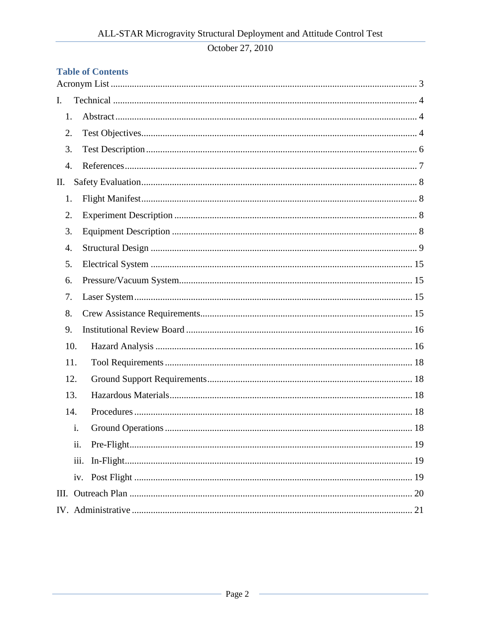# **Table of Contents**

| I.  |     |  |
|-----|-----|--|
| 1.  |     |  |
| 2.  |     |  |
| 3.  |     |  |
| 4.  |     |  |
| П.  |     |  |
| 1.  |     |  |
| 2.  |     |  |
| 3.  |     |  |
| 4.  |     |  |
| 5.  |     |  |
| 6.  |     |  |
| 7.  |     |  |
| 8.  |     |  |
| 9.  |     |  |
| 10. |     |  |
| 11. |     |  |
| 12. |     |  |
| 13. |     |  |
| 14. |     |  |
|     | 1.  |  |
|     | ii. |  |
|     |     |  |
|     |     |  |
|     |     |  |
|     |     |  |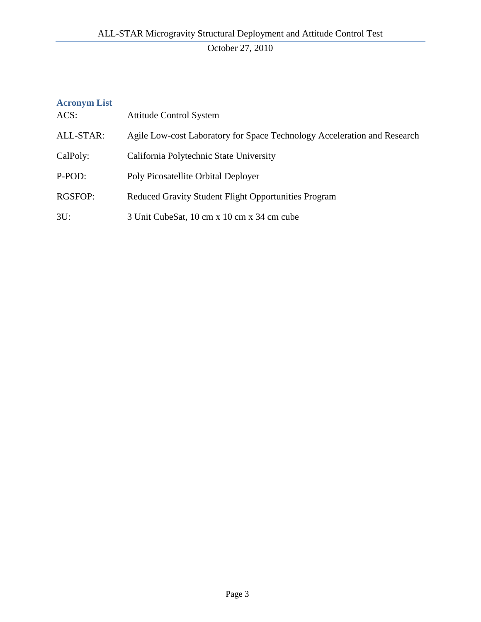# <span id="page-2-0"></span>**Acronym List** ACS: Attitude Control System ALL-STAR: Agile Low-cost Laboratory for Space Technology Acceleration and Research CalPoly: California Polytechnic State University P-POD: Poly Picosatellite Orbital Deployer RGSFOP: Reduced Gravity Student Flight Opportunities Program 3U: 3 Unit CubeSat, 10 cm x 10 cm x 34 cm cube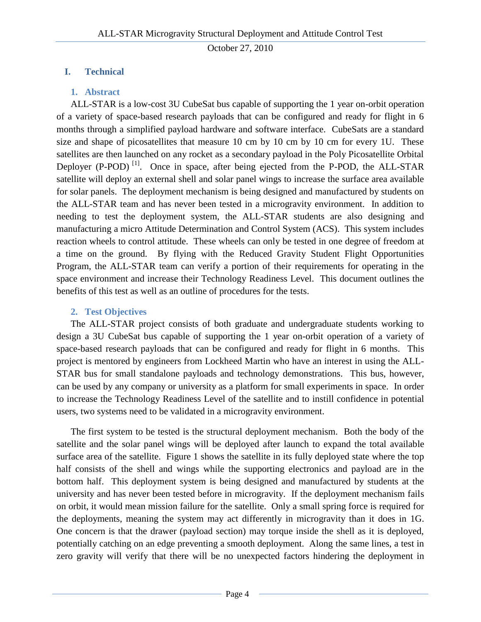# <span id="page-3-1"></span><span id="page-3-0"></span>**I. Technical**

# **1. Abstract**

ALL-STAR is a low-cost 3U CubeSat bus capable of supporting the 1 year on-orbit operation of a variety of space-based research payloads that can be configured and ready for flight in 6 months through a simplified payload hardware and software interface. CubeSats are a standard size and shape of picosatellites that measure 10 cm by 10 cm by 10 cm for every 1U. These satellites are then launched on any rocket as a secondary payload in the Poly Picosatellite Orbital Deployer  $(P-POD)$ <sup>[1]</sup>. Once in space, after being ejected from the P-POD, the ALL-STAR satellite will deploy an external shell and solar panel wings to increase the surface area available for solar panels. The deployment mechanism is being designed and manufactured by students on the ALL-STAR team and has never been tested in a microgravity environment. In addition to needing to test the deployment system, the ALL-STAR students are also designing and manufacturing a micro Attitude Determination and Control System (ACS). This system includes reaction wheels to control attitude. These wheels can only be tested in one degree of freedom at a time on the ground. By flying with the Reduced Gravity Student Flight Opportunities Program, the ALL-STAR team can verify a portion of their requirements for operating in the space environment and increase their Technology Readiness Level. This document outlines the benefits of this test as well as an outline of procedures for the tests.

# **2. Test Objectives**

<span id="page-3-2"></span>The ALL-STAR project consists of both graduate and undergraduate students working to design a 3U CubeSat bus capable of supporting the 1 year on-orbit operation of a variety of space-based research payloads that can be configured and ready for flight in 6 months. This project is mentored by engineers from Lockheed Martin who have an interest in using the ALL-STAR bus for small standalone payloads and technology demonstrations. This bus, however, can be used by any company or university as a platform for small experiments in space. In order to increase the Technology Readiness Level of the satellite and to instill confidence in potential users, two systems need to be validated in a microgravity environment.

The first system to be tested is the structural deployment mechanism. Both the body of the satellite and the solar panel wings will be deployed after launch to expand the total available surface area of the satellite. [Figure 1](#page-4-0) shows the satellite in its fully deployed state where the top half consists of the shell and wings while the supporting electronics and payload are in the bottom half. This deployment system is being designed and manufactured by students at the university and has never been tested before in microgravity. If the deployment mechanism fails on orbit, it would mean mission failure for the satellite. Only a small spring force is required for the deployments, meaning the system may act differently in microgravity than it does in 1G. One concern is that the drawer (payload section) may torque inside the shell as it is deployed, potentially catching on an edge preventing a smooth deployment. Along the same lines, a test in zero gravity will verify that there will be no unexpected factors hindering the deployment in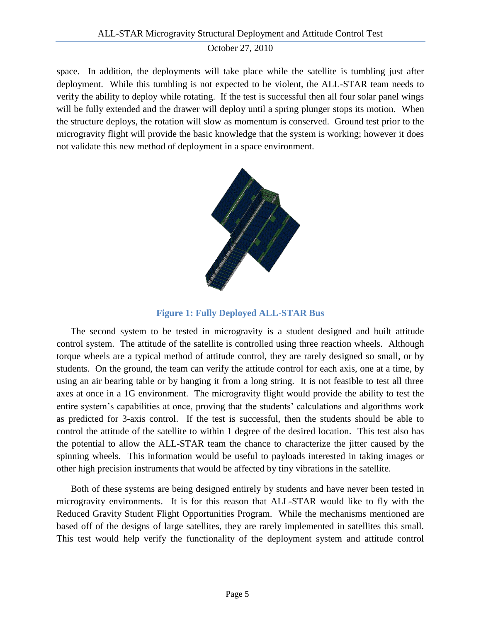space. In addition, the deployments will take place while the satellite is tumbling just after deployment. While this tumbling is not expected to be violent, the ALL-STAR team needs to verify the ability to deploy while rotating. If the test is successful then all four solar panel wings will be fully extended and the drawer will deploy until a spring plunger stops its motion. When the structure deploys, the rotation will slow as momentum is conserved. Ground test prior to the microgravity flight will provide the basic knowledge that the system is working; however it does not validate this new method of deployment in a space environment.



**Figure 1: Fully Deployed ALL-STAR Bus**

<span id="page-4-0"></span>The second system to be tested in microgravity is a student designed and built attitude control system. The attitude of the satellite is controlled using three reaction wheels. Although torque wheels are a typical method of attitude control, they are rarely designed so small, or by students. On the ground, the team can verify the attitude control for each axis, one at a time, by using an air bearing table or by hanging it from a long string. It is not feasible to test all three axes at once in a 1G environment. The microgravity flight would provide the ability to test the entire system's capabilities at once, proving that the students' calculations and algorithms work as predicted for 3-axis control. If the test is successful, then the students should be able to control the attitude of the satellite to within 1 degree of the desired location. This test also has the potential to allow the ALL-STAR team the chance to characterize the jitter caused by the spinning wheels. This information would be useful to payloads interested in taking images or other high precision instruments that would be affected by tiny vibrations in the satellite.

Both of these systems are being designed entirely by students and have never been tested in microgravity environments. It is for this reason that ALL-STAR would like to fly with the Reduced Gravity Student Flight Opportunities Program. While the mechanisms mentioned are based off of the designs of large satellites, they are rarely implemented in satellites this small. This test would help verify the functionality of the deployment system and attitude control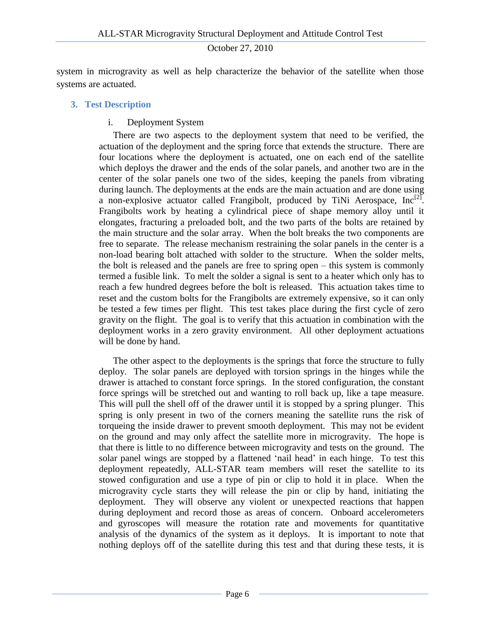system in microgravity as well as help characterize the behavior of the satellite when those systems are actuated.

#### <span id="page-5-0"></span>**3. Test Description**

#### i. Deployment System

There are two aspects to the deployment system that need to be verified, the actuation of the deployment and the spring force that extends the structure. There are four locations where the deployment is actuated, one on each end of the satellite which deploys the drawer and the ends of the solar panels, and another two are in the center of the solar panels one two of the sides, keeping the panels from vibrating during launch. The deployments at the ends are the main actuation and are done using a non-explosive actuator called Frangibolt, produced by TiNi Aerospace,  $Inc^{[2]}$ . Frangibolts work by heating a cylindrical piece of shape memory alloy until it elongates, fracturing a preloaded bolt, and the two parts of the bolts are retained by the main structure and the solar array. When the bolt breaks the two components are free to separate. The release mechanism restraining the solar panels in the center is a non-load bearing bolt attached with solder to the structure. When the solder melts, the bolt is released and the panels are free to spring open – this system is commonly termed a fusible link. To melt the solder a signal is sent to a heater which only has to reach a few hundred degrees before the bolt is released. This actuation takes time to reset and the custom bolts for the Frangibolts are extremely expensive, so it can only be tested a few times per flight. This test takes place during the first cycle of zero gravity on the flight. The goal is to verify that this actuation in combination with the deployment works in a zero gravity environment. All other deployment actuations will be done by hand.

The other aspect to the deployments is the springs that force the structure to fully deploy. The solar panels are deployed with torsion springs in the hinges while the drawer is attached to constant force springs. In the stored configuration, the constant force springs will be stretched out and wanting to roll back up, like a tape measure. This will pull the shell off of the drawer until it is stopped by a spring plunger. This spring is only present in two of the corners meaning the satellite runs the risk of torqueing the inside drawer to prevent smooth deployment. This may not be evident on the ground and may only affect the satellite more in microgravity. The hope is that there is little to no difference between microgravity and tests on the ground. The solar panel wings are stopped by a flattened "nail head" in each hinge. To test this deployment repeatedly, ALL-STAR team members will reset the satellite to its stowed configuration and use a type of pin or clip to hold it in place. When the microgravity cycle starts they will release the pin or clip by hand, initiating the deployment. They will observe any violent or unexpected reactions that happen during deployment and record those as areas of concern. Onboard accelerometers and gyroscopes will measure the rotation rate and movements for quantitative analysis of the dynamics of the system as it deploys. It is important to note that nothing deploys off of the satellite during this test and that during these tests, it is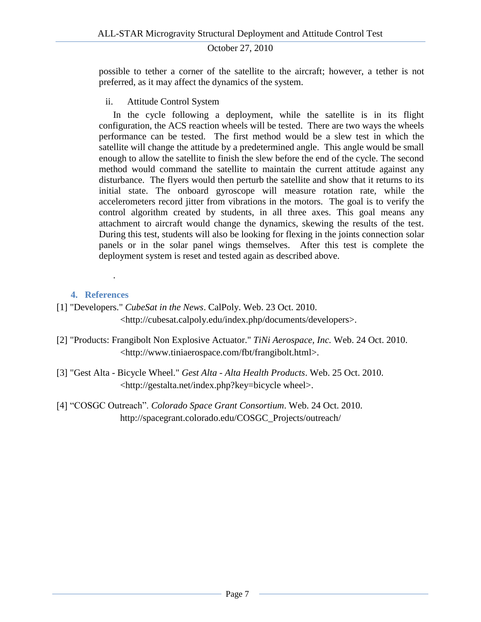possible to tether a corner of the satellite to the aircraft; however, a tether is not preferred, as it may affect the dynamics of the system.

ii. Attitude Control System

In the cycle following a deployment, while the satellite is in its flight configuration, the ACS reaction wheels will be tested. There are two ways the wheels performance can be tested. The first method would be a slew test in which the satellite will change the attitude by a predetermined angle. This angle would be small enough to allow the satellite to finish the slew before the end of the cycle. The second method would command the satellite to maintain the current attitude against any disturbance. The flyers would then perturb the satellite and show that it returns to its initial state. The onboard gyroscope will measure rotation rate, while the accelerometers record jitter from vibrations in the motors. The goal is to verify the control algorithm created by students, in all three axes. This goal means any attachment to aircraft would change the dynamics, skewing the results of the test. During this test, students will also be looking for flexing in the joints connection solar panels or in the solar panel wings themselves. After this test is complete the deployment system is reset and tested again as described above.

# **4. References**

.

- <span id="page-6-0"></span>[1] "Developers." *CubeSat in the News*. CalPoly. Web. 23 Oct. 2010. <http://cubesat.calpoly.edu/index.php/documents/developers>.
- [2] "Products: Frangibolt Non Explosive Actuator." *TiNi Aerospace, Inc.* Web. 24 Oct. 2010. <http://www.tiniaerospace.com/fbt/frangibolt.html>.
- [3] "Gest Alta Bicycle Wheel." *Gest Alta - Alta Health Products*. Web. 25 Oct. 2010. <http://gestalta.net/index.php?key=bicycle wheel>.
- [4] "COSGC Outreach". *Colorado Space Grant Consortium*. Web. 24 Oct. 2010. http://spacegrant.colorado.edu/COSGC\_Projects/outreach/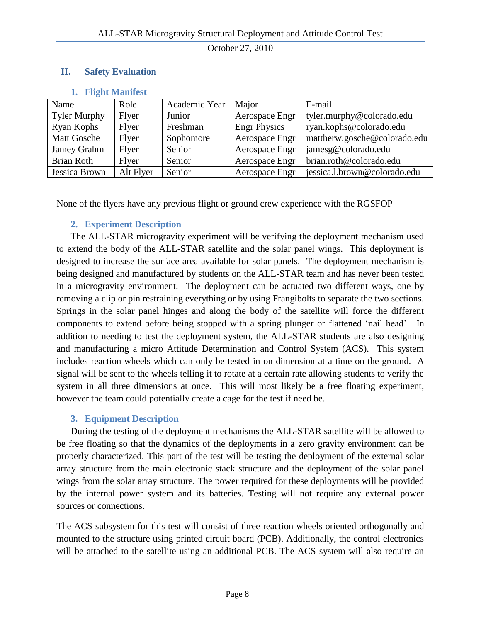#### <span id="page-7-1"></span><span id="page-7-0"></span>**II. Safety Evaluation**

| Name                | Role      | Academic Year | Major               | E-mail                       |
|---------------------|-----------|---------------|---------------------|------------------------------|
| <b>Tyler Murphy</b> | Flyer     | Junior        | Aerospace Engr      | tyler.murphy@colorado.edu    |
| Ryan Kophs          | Flyer     | Freshman      | <b>Engr Physics</b> | ryan.kophs@colorado.edu      |
| <b>Matt Gosche</b>  | Flyer     | Sophomore     | Aerospace Engr      | mattherw.gosche@colorado.edu |
| Jamey Grahm         | Flyer     | Senior        | Aerospace Engr      | jamesg@colorado.edu          |
| Brian Roth          | Flyer     | Senior        | Aerospace Engr      | brian.roth@colorado.edu      |
| Jessica Brown       | Alt Flyer | Senior        | Aerospace Engr      | jessica.l.brown@colorado.edu |

#### **1. Flight Manifest**

None of the flyers have any previous flight or ground crew experience with the RGSFOP

#### **2. Experiment Description**

<span id="page-7-2"></span>The ALL-STAR microgravity experiment will be verifying the deployment mechanism used to extend the body of the ALL-STAR satellite and the solar panel wings. This deployment is designed to increase the surface area available for solar panels. The deployment mechanism is being designed and manufactured by students on the ALL-STAR team and has never been tested in a microgravity environment. The deployment can be actuated two different ways, one by removing a clip or pin restraining everything or by using Frangibolts to separate the two sections. Springs in the solar panel hinges and along the body of the satellite will force the different components to extend before being stopped with a spring plunger or flattened "nail head". In addition to needing to test the deployment system, the ALL-STAR students are also designing and manufacturing a micro Attitude Determination and Control System (ACS). This system includes reaction wheels which can only be tested in on dimension at a time on the ground. A signal will be sent to the wheels telling it to rotate at a certain rate allowing students to verify the system in all three dimensions at once. This will most likely be a free floating experiment, however the team could potentially create a cage for the test if need be.

#### **3. Equipment Description**

<span id="page-7-3"></span>During the testing of the deployment mechanisms the ALL-STAR satellite will be allowed to be free floating so that the dynamics of the deployments in a zero gravity environment can be properly characterized. This part of the test will be testing the deployment of the external solar array structure from the main electronic stack structure and the deployment of the solar panel wings from the solar array structure. The power required for these deployments will be provided by the internal power system and its batteries. Testing will not require any external power sources or connections.

The ACS subsystem for this test will consist of three reaction wheels oriented orthogonally and mounted to the structure using printed circuit board (PCB). Additionally, the control electronics will be attached to the satellite using an additional PCB. The ACS system will also require an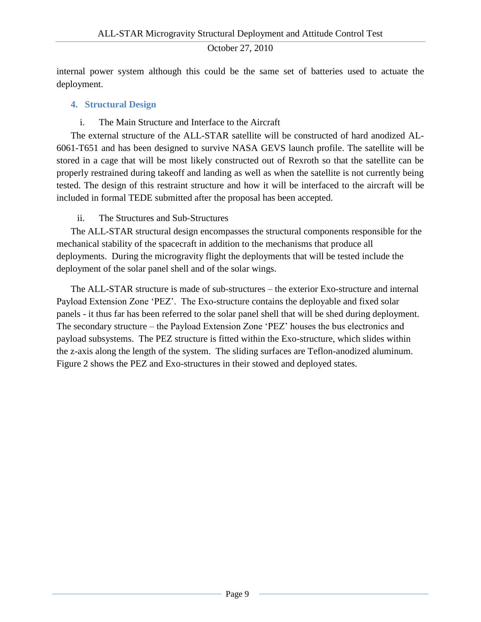internal power system although this could be the same set of batteries used to actuate the deployment.

#### <span id="page-8-0"></span>**4. Structural Design**

### i. The Main Structure and Interface to the Aircraft

The external structure of the ALL-STAR satellite will be constructed of hard anodized AL-6061-T651 and has been designed to survive NASA GEVS launch profile. The satellite will be stored in a cage that will be most likely constructed out of Rexroth so that the satellite can be properly restrained during takeoff and landing as well as when the satellite is not currently being tested. The design of this restraint structure and how it will be interfaced to the aircraft will be included in formal TEDE submitted after the proposal has been accepted.

# ii. The Structures and Sub-Structures

The ALL-STAR structural design encompasses the structural components responsible for the mechanical stability of the spacecraft in addition to the mechanisms that produce all deployments. During the microgravity flight the deployments that will be tested include the deployment of the solar panel shell and of the solar wings.

The ALL-STAR structure is made of sub-structures – the exterior Exo-structure and internal Payload Extension Zone "PEZ". The Exo-structure contains the deployable and fixed solar panels - it thus far has been referred to the solar panel shell that will be shed during deployment. The secondary structure – the Payload Extension Zone "PEZ" houses the bus electronics and payload subsystems. The PEZ structure is fitted within the Exo-structure, which slides within the z-axis along the length of the system. The sliding surfaces are Teflon-anodized aluminum. Figure 2 shows the PEZ and Exo-structures in their stowed and deployed states.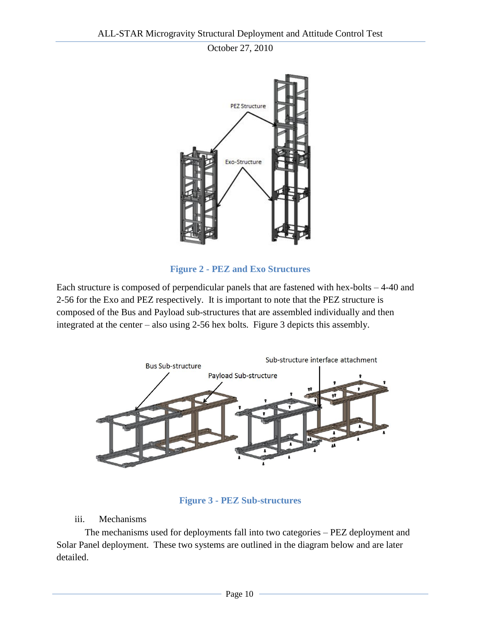

**Figure 2 - PEZ and Exo Structures**

Each structure is composed of perpendicular panels that are fastened with hex-bolts – 4-40 and 2-56 for the Exo and PEZ respectively. It is important to note that the PEZ structure is composed of the Bus and Payload sub-structures that are assembled individually and then integrated at the center – also using 2-56 hex bolts. Figure 3 depicts this assembly.



**Figure 3 - PEZ Sub-structures**

#### iii. Mechanisms

The mechanisms used for deployments fall into two categories – PEZ deployment and Solar Panel deployment. These two systems are outlined in the diagram below and are later detailed.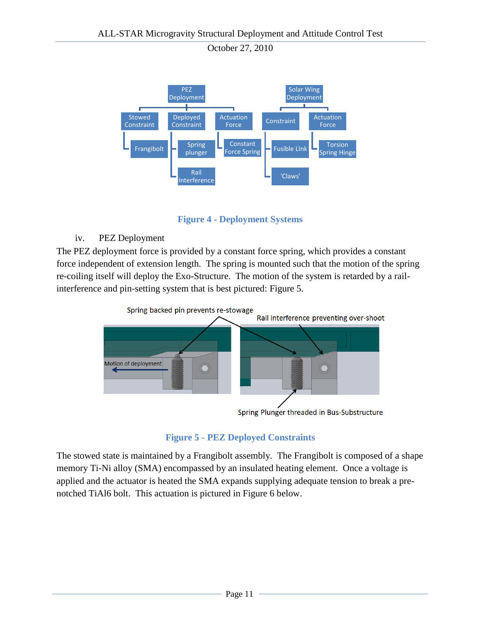

**Figure 4 - Deployment Systems**

# iv. PEZ Deployment

The PEZ deployment force is provided by a constant force spring, which provides a constant force independent of extension length. The spring is mounted such that the motion of the spring re-coiling itself will deploy the Exo-Structure. The motion of the system is retarded by a railinterference and pin-setting system that is best pictured: [Figure 5.](#page-10-0)



Spring Plunger threaded in Bus-Substructure

# **Figure 5 - PEZ Deployed Constraints**

<span id="page-10-0"></span>The stowed state is maintained by a Frangibolt assembly. The Frangibolt is composed of a shape memory Ti-Ni alloy (SMA) encompassed by an insulated heating element. Once a voltage is applied and the actuator is heated the SMA expands supplying adequate tension to break a prenotched TiAl6 bolt. This actuation is pictured in Figure 6 below.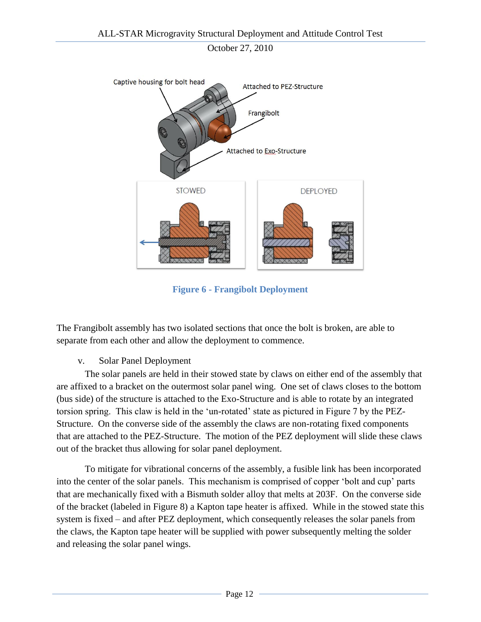

**Figure 6 - Frangibolt Deployment**

The Frangibolt assembly has two isolated sections that once the bolt is broken, are able to separate from each other and allow the deployment to commence.

v. Solar Panel Deployment

The solar panels are held in their stowed state by claws on either end of the assembly that are affixed to a bracket on the outermost solar panel wing. One set of claws closes to the bottom (bus side) of the structure is attached to the Exo-Structure and is able to rotate by an integrated torsion spring. This claw is held in the "un-rotated" state as pictured in Figure 7 by the PEZ-Structure. On the converse side of the assembly the claws are non-rotating fixed components that are attached to the PEZ-Structure. The motion of the PEZ deployment will slide these claws out of the bracket thus allowing for solar panel deployment.

To mitigate for vibrational concerns of the assembly, a fusible link has been incorporated into the center of the solar panels. This mechanism is comprised of copper "bolt and cup" parts that are mechanically fixed with a Bismuth solder alloy that melts at 203F. On the converse side of the bracket (labeled in Figure 8) a Kapton tape heater is affixed. While in the stowed state this system is fixed – and after PEZ deployment, which consequently releases the solar panels from the claws, the Kapton tape heater will be supplied with power subsequently melting the solder and releasing the solar panel wings.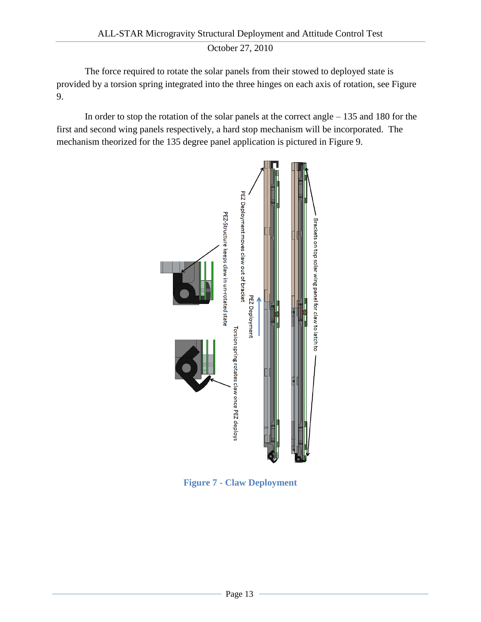The force required to rotate the solar panels from their stowed to deployed state is provided by a torsion spring integrated into the three hinges on each axis of rotation, see Figure 9.

In order to stop the rotation of the solar panels at the correct angle – 135 and 180 for the first and second wing panels respectively, a hard stop mechanism will be incorporated. The mechanism theorized for the 135 degree panel application is pictured in Figure 9.



**Figure 7 - Claw Deployment**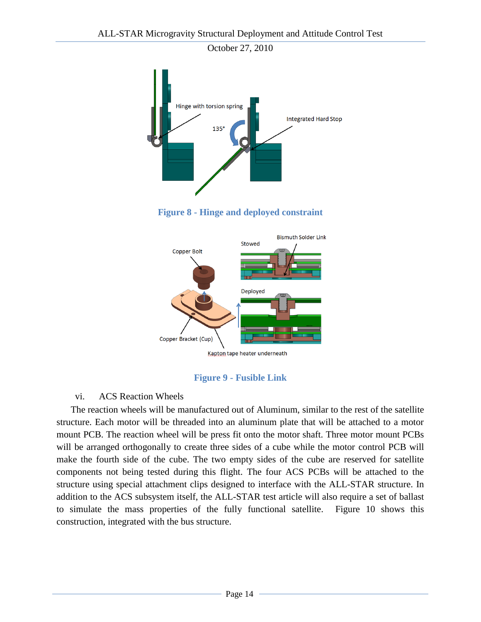



#### **Figure 9 - Fusible Link**

#### vi. ACS Reaction Wheels

The reaction wheels will be manufactured out of Aluminum, similar to the rest of the satellite structure. Each motor will be threaded into an aluminum plate that will be attached to a motor mount PCB. The reaction wheel will be press fit onto the motor shaft. Three motor mount PCBs will be arranged orthogonally to create three sides of a cube while the motor control PCB will make the fourth side of the cube. The two empty sides of the cube are reserved for satellite components not being tested during this flight. The four ACS PCBs will be attached to the structure using special attachment clips designed to interface with the ALL-STAR structure. In addition to the ACS subsystem itself, the ALL-STAR test article will also require a set of ballast to simulate the mass properties of the fully functional satellite. [Figure 10](#page-14-4) shows this construction, integrated with the bus structure.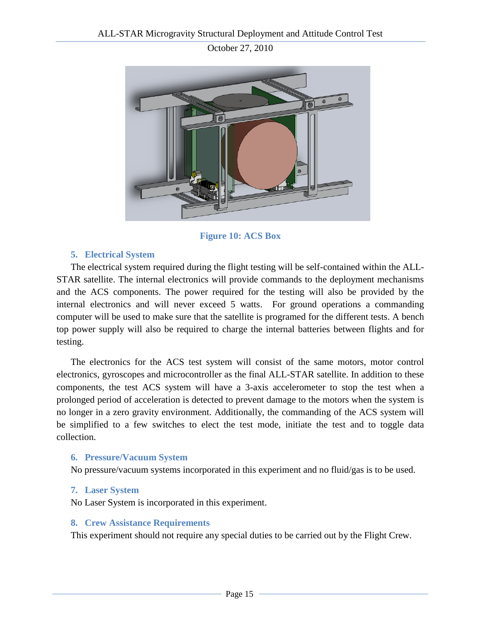

**Figure 10: ACS Box**

# <span id="page-14-4"></span>**5. Electrical System**

<span id="page-14-0"></span>The electrical system required during the flight testing will be self-contained within the ALL-STAR satellite. The internal electronics will provide commands to the deployment mechanisms and the ACS components. The power required for the testing will also be provided by the internal electronics and will never exceed 5 watts. For ground operations a commanding computer will be used to make sure that the satellite is programed for the different tests. A bench top power supply will also be required to charge the internal batteries between flights and for testing.

The electronics for the ACS test system will consist of the same motors, motor control electronics, gyroscopes and microcontroller as the final ALL-STAR satellite. In addition to these components, the test ACS system will have a 3-axis accelerometer to stop the test when a prolonged period of acceleration is detected to prevent damage to the motors when the system is no longer in a zero gravity environment. Additionally, the commanding of the ACS system will be simplified to a few switches to elect the test mode, initiate the test and to toggle data collection.

# <span id="page-14-1"></span>**6. Pressure/Vacuum System**

No pressure/vacuum systems incorporated in this experiment and no fluid/gas is to be used.

#### <span id="page-14-2"></span>**7. Laser System**

No Laser System is incorporated in this experiment.

#### <span id="page-14-3"></span>**8. Crew Assistance Requirements**

This experiment should not require any special duties to be carried out by the Flight Crew.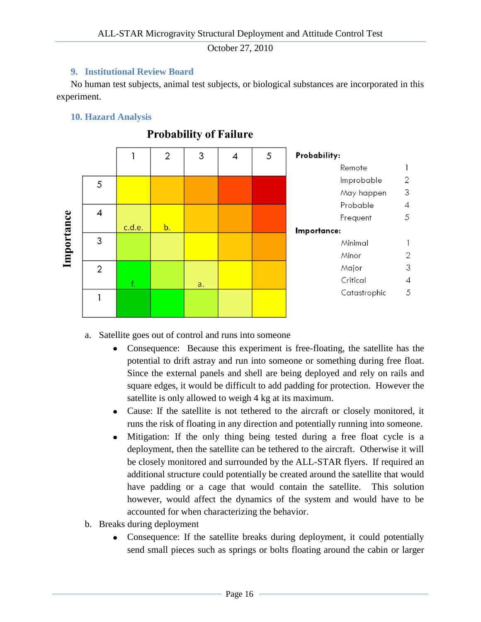#### **9. Institutional Review Board**

<span id="page-15-0"></span>No human test subjects, animal test subjects, or biological substances are incorporated in this experiment.

#### <span id="page-15-1"></span>**10. Hazard Analysis**



# **Probability of Failure**

a. Satellite goes out of control and runs into someone

- Consequence: Because this experiment is free-floating, the satellite has the potential to drift astray and run into someone or something during free float. Since the external panels and shell are being deployed and rely on rails and square edges, it would be difficult to add padding for protection. However the satellite is only allowed to weigh 4 kg at its maximum.
- Cause: If the satellite is not tethered to the aircraft or closely monitored, it runs the risk of floating in any direction and potentially running into someone.
- $\bullet$ Mitigation: If the only thing being tested during a free float cycle is a deployment, then the satellite can be tethered to the aircraft. Otherwise it will be closely monitored and surrounded by the ALL-STAR flyers. If required an additional structure could potentially be created around the satellite that would have padding or a cage that would contain the satellite. This solution however, would affect the dynamics of the system and would have to be accounted for when characterizing the behavior.
- b. Breaks during deployment
	- Consequence: If the satellite breaks during deployment, it could potentially  $\bullet$ send small pieces such as springs or bolts floating around the cabin or larger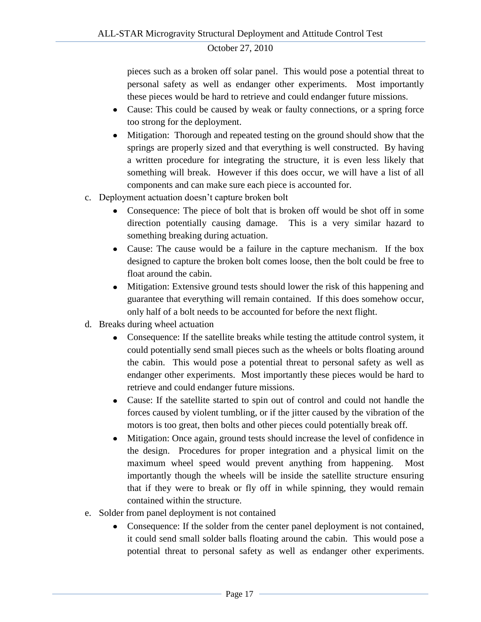pieces such as a broken off solar panel. This would pose a potential threat to personal safety as well as endanger other experiments. Most importantly these pieces would be hard to retrieve and could endanger future missions.

- Cause: This could be caused by weak or faulty connections, or a spring force too strong for the deployment.
- Mitigation: Thorough and repeated testing on the ground should show that the  $\bullet$ springs are properly sized and that everything is well constructed. By having a written procedure for integrating the structure, it is even less likely that something will break. However if this does occur, we will have a list of all components and can make sure each piece is accounted for.
- c. Deployment actuation doesn"t capture broken bolt
	- Consequence: The piece of bolt that is broken off would be shot off in some direction potentially causing damage. This is a very similar hazard to something breaking during actuation.
	- Cause: The cause would be a failure in the capture mechanism. If the box designed to capture the broken bolt comes loose, then the bolt could be free to float around the cabin.
	- Mitigation: Extensive ground tests should lower the risk of this happening and  $\bullet$ guarantee that everything will remain contained. If this does somehow occur, only half of a bolt needs to be accounted for before the next flight.
- d. Breaks during wheel actuation
	- Consequence: If the satellite breaks while testing the attitude control system, it  $\bullet$ could potentially send small pieces such as the wheels or bolts floating around the cabin. This would pose a potential threat to personal safety as well as endanger other experiments. Most importantly these pieces would be hard to retrieve and could endanger future missions.
	- Cause: If the satellite started to spin out of control and could not handle the forces caused by violent tumbling, or if the jitter caused by the vibration of the motors is too great, then bolts and other pieces could potentially break off.
	- Mitigation: Once again, ground tests should increase the level of confidence in  $\bullet$ the design. Procedures for proper integration and a physical limit on the maximum wheel speed would prevent anything from happening. Most importantly though the wheels will be inside the satellite structure ensuring that if they were to break or fly off in while spinning, they would remain contained within the structure.
- e. Solder from panel deployment is not contained
	- Consequence: If the solder from the center panel deployment is not contained, it could send small solder balls floating around the cabin. This would pose a potential threat to personal safety as well as endanger other experiments.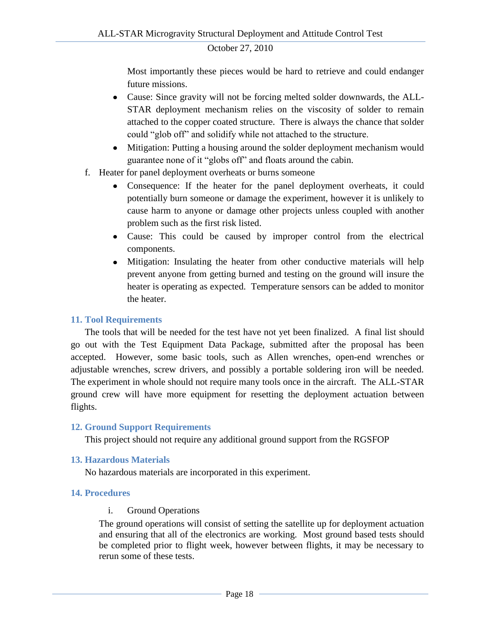Most importantly these pieces would be hard to retrieve and could endanger future missions.

- Cause: Since gravity will not be forcing melted solder downwards, the ALL-STAR deployment mechanism relies on the viscosity of solder to remain attached to the copper coated structure. There is always the chance that solder could "glob off" and solidify while not attached to the structure.
- $\bullet$ Mitigation: Putting a housing around the solder deployment mechanism would guarantee none of it "globs off" and floats around the cabin.
- f. Heater for panel deployment overheats or burns someone
	- Consequence: If the heater for the panel deployment overheats, it could  $\bullet$ potentially burn someone or damage the experiment, however it is unlikely to cause harm to anyone or damage other projects unless coupled with another problem such as the first risk listed.
	- Cause: This could be caused by improper control from the electrical components.
	- Mitigation: Insulating the heater from other conductive materials will help prevent anyone from getting burned and testing on the ground will insure the heater is operating as expected. Temperature sensors can be added to monitor the heater.

#### <span id="page-17-0"></span>**11. Tool Requirements**

The tools that will be needed for the test have not yet been finalized. A final list should go out with the Test Equipment Data Package, submitted after the proposal has been accepted. However, some basic tools, such as Allen wrenches, open-end wrenches or adjustable wrenches, screw drivers, and possibly a portable soldering iron will be needed. The experiment in whole should not require many tools once in the aircraft. The ALL-STAR ground crew will have more equipment for resetting the deployment actuation between flights.

#### <span id="page-17-1"></span>**12. Ground Support Requirements**

This project should not require any additional ground support from the RGSFOP

#### <span id="page-17-2"></span>**13. Hazardous Materials**

No hazardous materials are incorporated in this experiment.

#### <span id="page-17-4"></span><span id="page-17-3"></span>**14. Procedures**

#### i. Ground Operations

The ground operations will consist of setting the satellite up for deployment actuation and ensuring that all of the electronics are working. Most ground based tests should be completed prior to flight week, however between flights, it may be necessary to rerun some of these tests.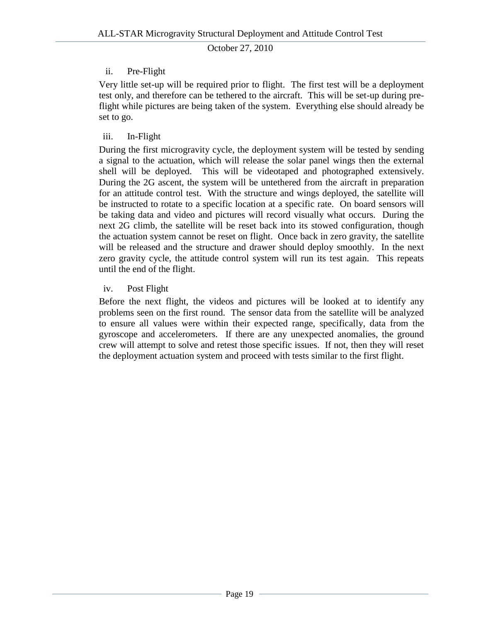# ii. Pre-Flight

<span id="page-18-0"></span>Very little set-up will be required prior to flight. The first test will be a deployment test only, and therefore can be tethered to the aircraft. This will be set-up during preflight while pictures are being taken of the system. Everything else should already be set to go.

### iii. In-Flight

<span id="page-18-1"></span>During the first microgravity cycle, the deployment system will be tested by sending a signal to the actuation, which will release the solar panel wings then the external shell will be deployed. This will be videotaped and photographed extensively. During the 2G ascent, the system will be untethered from the aircraft in preparation for an attitude control test. With the structure and wings deployed, the satellite will be instructed to rotate to a specific location at a specific rate. On board sensors will be taking data and video and pictures will record visually what occurs. During the next 2G climb, the satellite will be reset back into its stowed configuration, though the actuation system cannot be reset on flight. Once back in zero gravity, the satellite will be released and the structure and drawer should deploy smoothly. In the next zero gravity cycle, the attitude control system will run its test again. This repeats until the end of the flight.

# iv. Post Flight

<span id="page-18-2"></span>Before the next flight, the videos and pictures will be looked at to identify any problems seen on the first round. The sensor data from the satellite will be analyzed to ensure all values were within their expected range, specifically, data from the gyroscope and accelerometers. If there are any unexpected anomalies, the ground crew will attempt to solve and retest those specific issues. If not, then they will reset the deployment actuation system and proceed with tests similar to the first flight.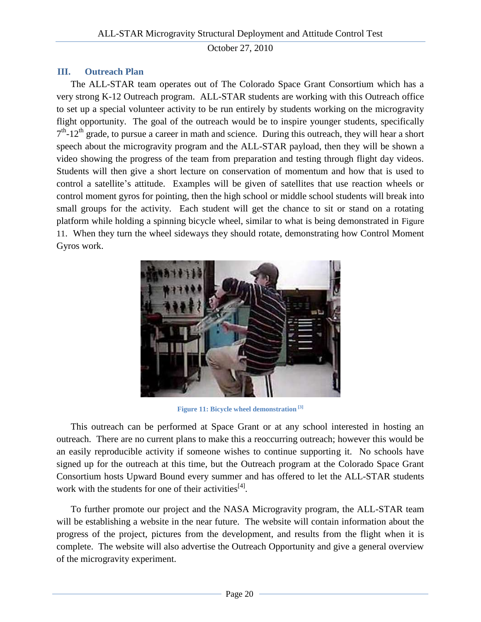# <span id="page-19-0"></span>**III. Outreach Plan**

The ALL-STAR team operates out of The Colorado Space Grant Consortium which has a very strong K-12 Outreach program. ALL-STAR students are working with this Outreach office to set up a special volunteer activity to be run entirely by students working on the microgravity flight opportunity. The goal of the outreach would be to inspire younger students, specifically  $7<sup>th</sup>$ -12<sup>th</sup> grade, to pursue a career in math and science. During this outreach, they will hear a short speech about the microgravity program and the ALL-STAR payload, then they will be shown a video showing the progress of the team from preparation and testing through flight day videos. Students will then give a short lecture on conservation of momentum and how that is used to control a satellite's attitude. Examples will be given of satellites that use reaction wheels or control moment gyros for pointing, then the high school or middle school students will break into small groups for the activity. Each student will get the chance to sit or stand on a rotating platform while holding a spinning bicycle wheel, similar to what is being demonstrated in [Figure](#page-19-1)  [11](#page-19-1). When they turn the wheel sideways they should rotate, demonstrating how Control Moment Gyros work.



**Figure 11: Bicycle wheel demonstration [3]**

<span id="page-19-1"></span>This outreach can be performed at Space Grant or at any school interested in hosting an outreach. There are no current plans to make this a reoccurring outreach; however this would be an easily reproducible activity if someone wishes to continue supporting it. No schools have signed up for the outreach at this time, but the Outreach program at the Colorado Space Grant Consortium hosts Upward Bound every summer and has offered to let the ALL-STAR students work with the students for one of their activities  $[4]$ .

To further promote our project and the NASA Microgravity program, the ALL-STAR team will be establishing a website in the near future. The website will contain information about the progress of the project, pictures from the development, and results from the flight when it is complete. The website will also advertise the Outreach Opportunity and give a general overview of the microgravity experiment.